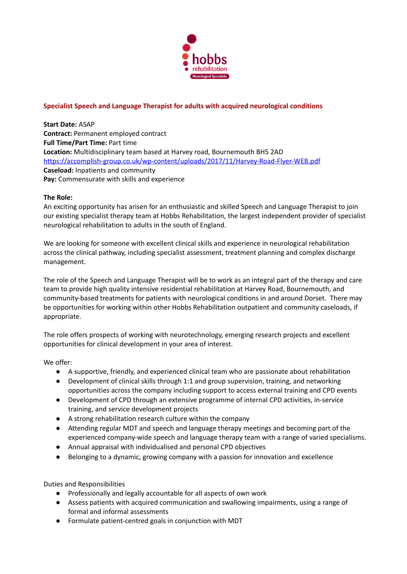

# **Specialist Speech and Language Therapist for adults with acquired neurological conditions**

**Start Date:** ASAP **Contract:** Permanent employed contract **Full Time/Part Time:** Part time **Location:** Multidisciplinary team based at Harvey road, Bournemouth BH5 2AD <https://accomplish-group.co.uk/wp-content/uploads/2017/11/Harvey-Road-Flyer-WEB.pdf> **Caseload:** Inpatients and community **Pay:** Commensurate with skills and experience

## **The Role:**

An exciting opportunity has arisen for an enthusiastic and skilled Speech and Language Therapist to join our existing specialist therapy team at Hobbs Rehabilitation, the largest independent provider of specialist neurological rehabilitation to adults in the south of England.

We are looking for someone with excellent clinical skills and experience in neurological rehabilitation across the clinical pathway, including specialist assessment, treatment planning and complex discharge management.

The role of the Speech and Language Therapist will be to work as an integral part of the therapy and care team to provide high quality intensive residential rehabilitation at Harvey Road, Bournemouth, and community-based treatments for patients with neurological conditions in and around Dorset. There may be opportunities for working within other Hobbs Rehabilitation outpatient and community caseloads, if appropriate.

The role offers prospects of working with neurotechnology, emerging research projects and excellent opportunities for clinical development in your area of interest.

We offer:

- A supportive, friendly, and experienced clinical team who are passionate about rehabilitation
- Development of clinical skills through 1:1 and group supervision, training, and networking opportunities across the company including support to access external training and CPD events
- Development of CPD through an extensive programme of internal CPD activities, in-service training, and service development projects
- A strong rehabilitation research culture within the company
- Attending regular MDT and speech and language therapy meetings and becoming part of the experienced company-wide speech and language therapy team with a range of varied specialisms.
- Annual appraisal with individualised and personal CPD objectives
- Belonging to a dynamic, growing company with a passion for innovation and excellence

Duties and Responsibilities

- Professionally and legally accountable for all aspects of own work
- Assess patients with acquired communication and swallowing impairments, using a range of formal and informal assessments
- Formulate patient-centred goals in conjunction with MDT